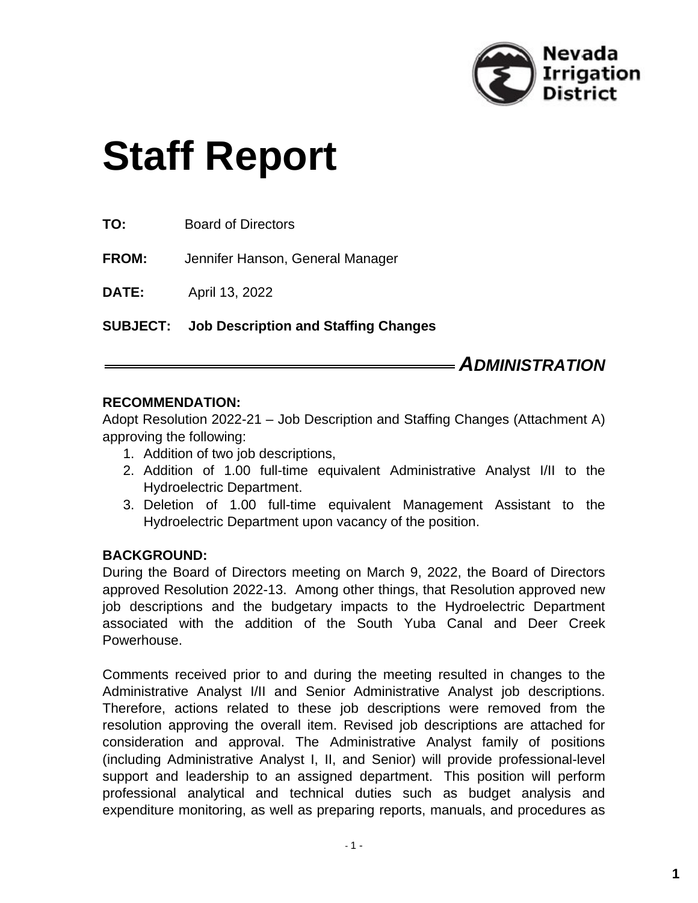

# **Staff Report**

**FROM:** Jennifer Hanson, General Manager

**DATE:** April 13, 2022

**SUBJECT: Job Description and Staffing Changes**

# *ADMINISTRATION*

#### **RECOMMENDATION:**

Adopt Resolution 2022-21 – Job Description and Staffing Changes (Attachment A) approving the following:

- 1. Addition of two job descriptions,
- 2. Addition of 1.00 full-time equivalent Administrative Analyst I/II to the Hydroelectric Department.
- 3. Deletion of 1.00 full-time equivalent Management Assistant to the Hydroelectric Department upon vacancy of the position.

#### **BACKGROUND:**

During the Board of Directors meeting on March 9, 2022, the Board of Directors approved Resolution 2022-13. Among other things, that Resolution approved new job descriptions and the budgetary impacts to the Hydroelectric Department associated with the addition of the South Yuba Canal and Deer Creek Powerhouse.

Comments received prior to and during the meeting resulted in changes to the Administrative Analyst I/II and Senior Administrative Analyst job descriptions. Therefore, actions related to these job descriptions were removed from the resolution approving the overall item. Revised job descriptions are attached for consideration and approval. The Administrative Analyst family of positions (including Administrative Analyst I, II, and Senior) will provide professional-level support and leadership to an assigned department. This position will perform professional analytical and technical duties such as budget analysis and expenditure monitoring, as well as preparing reports, manuals, and procedures as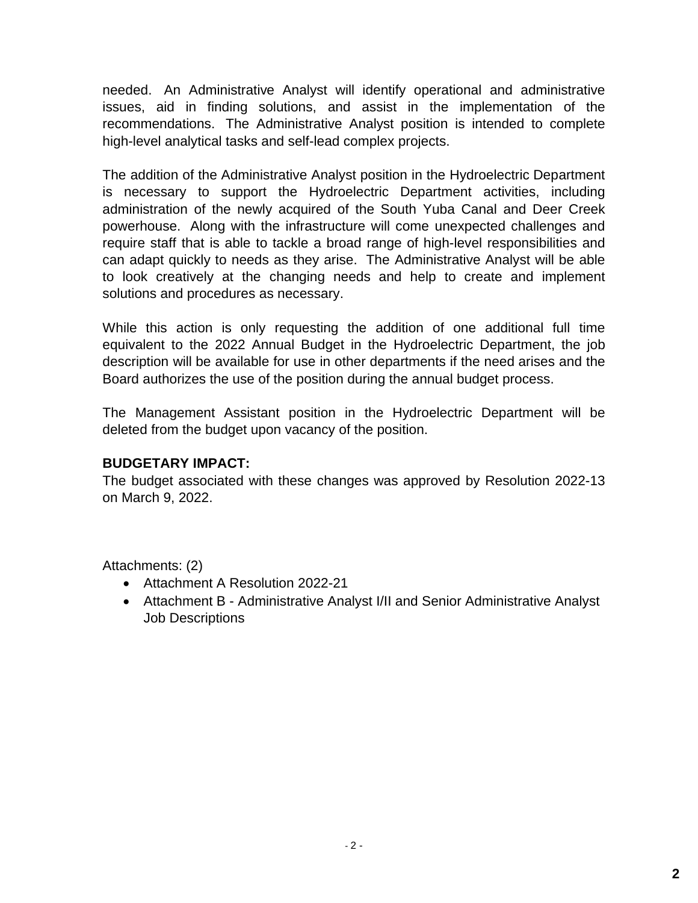needed. An Administrative Analyst will identify operational and administrative issues, aid in finding solutions, and assist in the implementation of the recommendations. The Administrative Analyst position is intended to complete high-level analytical tasks and self-lead complex projects.

The addition of the Administrative Analyst position in the Hydroelectric Department is necessary to support the Hydroelectric Department activities, including administration of the newly acquired of the South Yuba Canal and Deer Creek powerhouse. Along with the infrastructure will come unexpected challenges and require staff that is able to tackle a broad range of high-level responsibilities and can adapt quickly to needs as they arise. The Administrative Analyst will be able to look creatively at the changing needs and help to create and implement solutions and procedures as necessary.

While this action is only requesting the addition of one additional full time equivalent to the 2022 Annual Budget in the Hydroelectric Department, the job description will be available for use in other departments if the need arises and the Board authorizes the use of the position during the annual budget process.

The Management Assistant position in the Hydroelectric Department will be deleted from the budget upon vacancy of the position.

#### **BUDGETARY IMPACT:**

The budget associated with these changes was approved by Resolution 2022-13 on March 9, 2022.

Attachments: (2)

- Attachment A Resolution 2022-21
- Attachment B Administrative Analyst I/II and Senior Administrative Analyst Job Descriptions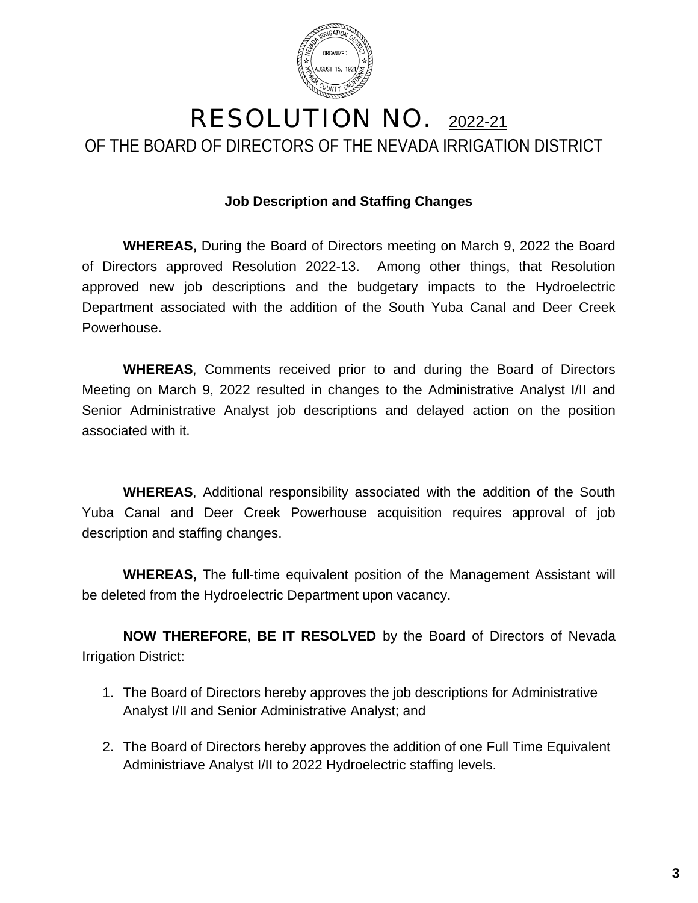

# RESOLUTION NO. 2022-21 OF THE BOARD OF DIRECTORS OF THE NEVADA IRRIGATION DISTRICT

#### **Job Description and Staffing Changes**

**WHEREAS,** During the Board of Directors meeting on March 9, 2022 the Board of Directors approved Resolution 2022-13. Among other things, that Resolution approved new job descriptions and the budgetary impacts to the Hydroelectric Department associated with the addition of the South Yuba Canal and Deer Creek Powerhouse.

**WHEREAS**, Comments received prior to and during the Board of Directors Meeting on March 9, 2022 resulted in changes to the Administrative Analyst I/II and Senior Administrative Analyst job descriptions and delayed action on the position associated with it.

**WHEREAS**, Additional responsibility associated with the addition of the South Yuba Canal and Deer Creek Powerhouse acquisition requires approval of job description and staffing changes.

**WHEREAS,** The full-time equivalent position of the Management Assistant will be deleted from the Hydroelectric Department upon vacancy.

**NOW THEREFORE, BE IT RESOLVED** by the Board of Directors of Nevada Irrigation District:

- 1. The Board of Directors hereby approves the job descriptions for Administrative Analyst I/II and Senior Administrative Analyst; and
- 2. The Board of Directors hereby approves the addition of one Full Time Equivalent Administriave Analyst I/II to 2022 Hydroelectric staffing levels.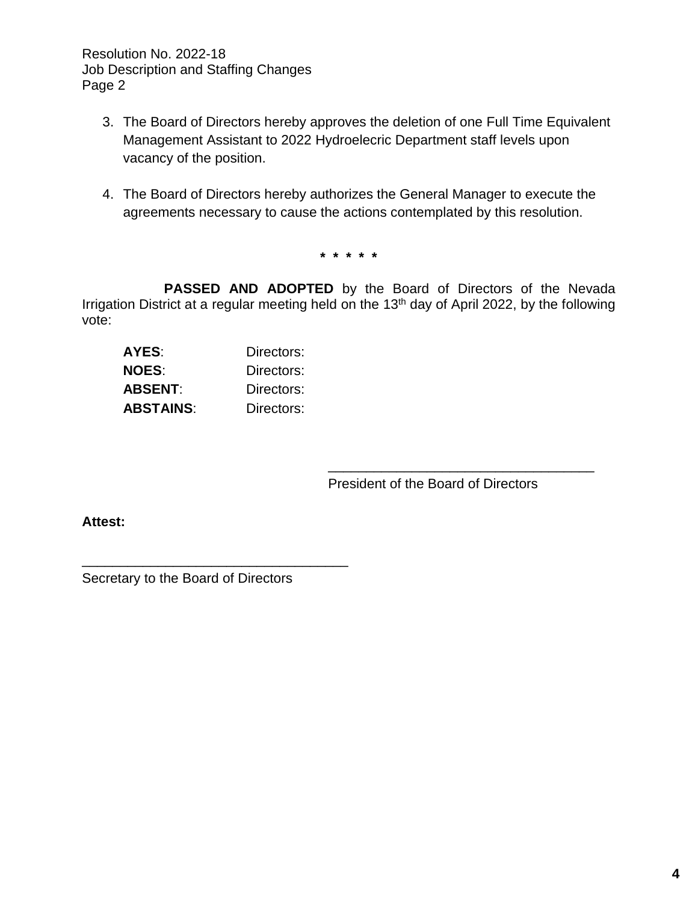Resolution No. 2022-18 Job Description and Staffing Changes Page 2

- 3. The Board of Directors hereby approves the deletion of one Full Time Equivalent Management Assistant to 2022 Hydroelecric Department staff levels upon vacancy of the position.
- 4. The Board of Directors hereby authorizes the General Manager to execute the agreements necessary to cause the actions contemplated by this resolution.

**\* \* \* \* \***

**PASSED AND ADOPTED** by the Board of Directors of the Nevada Irrigation District at a regular meeting held on the 13<sup>th</sup> day of April 2022, by the following vote:

| AYES:            | Directors: |
|------------------|------------|
| <b>NOES:</b>     | Directors: |
| ABSENT:          | Directors: |
| <b>ABSTAINS:</b> | Directors: |

President of the Board of Directors

\_\_\_\_\_\_\_\_\_\_\_\_\_\_\_\_\_\_\_\_\_\_\_\_\_\_\_\_\_\_\_\_\_\_\_

**Attest:**

Secretary to the Board of Directors

\_\_\_\_\_\_\_\_\_\_\_\_\_\_\_\_\_\_\_\_\_\_\_\_\_\_\_\_\_\_\_\_\_\_\_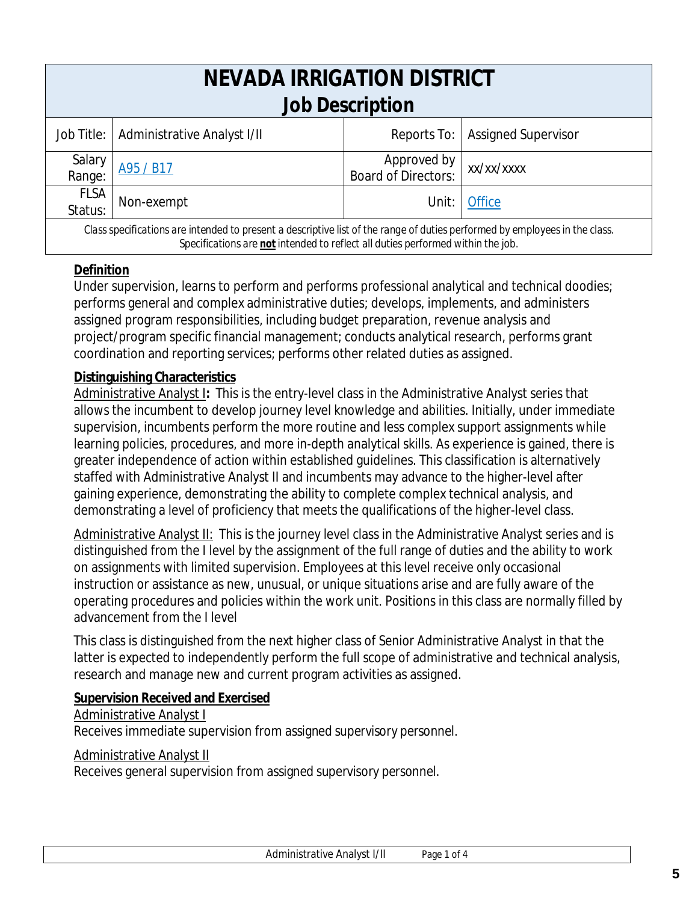| NEVADA IRRIGATION DISTRICT<br><b>Job Description</b>                                                                                                                                                           |                                          |                                           |                            |  |
|----------------------------------------------------------------------------------------------------------------------------------------------------------------------------------------------------------------|------------------------------------------|-------------------------------------------|----------------------------|--|
|                                                                                                                                                                                                                | Job Title:   Administrative Analyst I/II | Reports To:                               | <b>Assigned Supervisor</b> |  |
| Salary<br>Range:                                                                                                                                                                                               | A95 / B17                                | Approved by<br><b>Board of Directors:</b> | xx/xx/xxxx                 |  |
| <b>FLSA</b><br>Status:                                                                                                                                                                                         | Non-exempt                               | Unit:                                     | <b>Office</b>              |  |
| Class specifications are intended to present a descriptive list of the range of duties performed by employees in the class.<br>Specifications are not intended to reflect all duties performed within the job. |                                          |                                           |                            |  |

#### **Definition**

Under supervision, learns to perform and performs professional analytical and technical doodies; performs general and complex administrative duties; develops, implements, and administers assigned program responsibilities, including budget preparation, revenue analysis and project/program specific financial management; conducts analytical research, performs grant coordination and reporting services; performs other related duties as assigned.

# **Distinguishing Characteristics**

Administrative Analyst I**:** This is the entry-level class in the Administrative Analyst series that allows the incumbent to develop journey level knowledge and abilities. Initially, under immediate supervision, incumbents perform the more routine and less complex support assignments while learning policies, procedures, and more in-depth analytical skills. As experience is gained, there is greater independence of action within established guidelines. This classification is alternatively staffed with Administrative Analyst II and incumbents may advance to the higher-level after gaining experience, demonstrating the ability to complete complex technical analysis, and demonstrating a level of proficiency that meets the qualifications of the higher-level class.

Administrative Analyst II: This is the journey level class in the Administrative Analyst series and is distinguished from the I level by the assignment of the full range of duties and the ability to work on assignments with limited supervision. Employees at this level receive only occasional instruction or assistance as new, unusual, or unique situations arise and are fully aware of the operating procedures and policies within the work unit. Positions in this class are normally filled by advancement from the I level

This class is distinguished from the next higher class of Senior Administrative Analyst in that the latter is expected to independently perform the full scope of administrative and technical analysis, research and manage new and current program activities as assigned.

#### **Supervision Received and Exercised**

#### Administrative Analyst I

Receives immediate supervision from assigned supervisory personnel.

#### Administrative Analyst II

Receives general supervision from assigned supervisory personnel.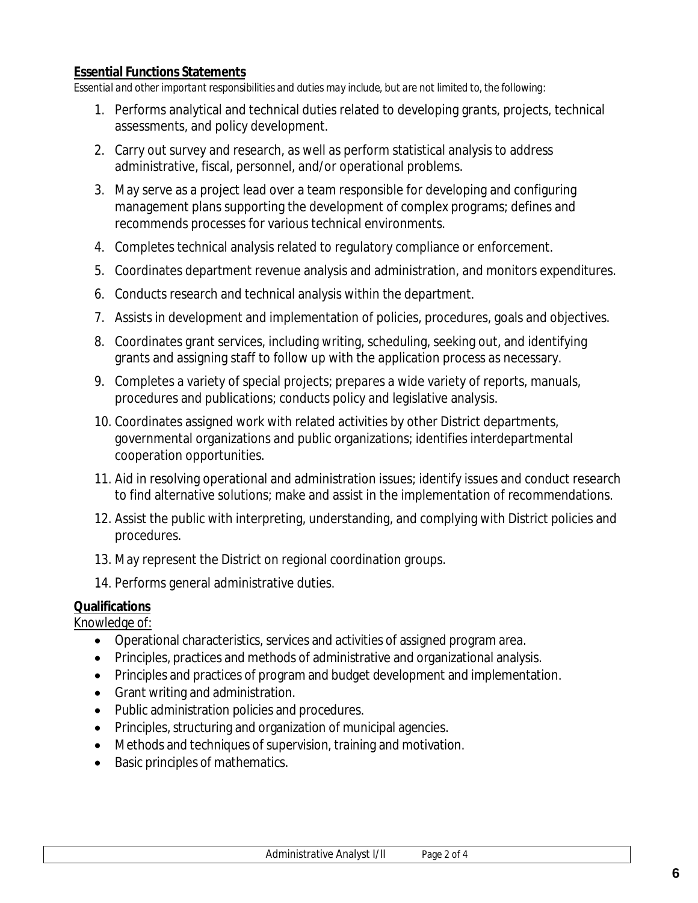#### **Essential Functions Statements**

*Essential and other important responsibilities and duties may include, but are not limited to, the following:*

- 1. Performs analytical and technical duties related to developing grants, projects, technical assessments, and policy development.
- 2. Carry out survey and research, as well as perform statistical analysis to address administrative, fiscal, personnel, and/or operational problems.
- 3. May serve as a project lead over a team responsible for developing and configuring management plans supporting the development of complex programs; defines and recommends processes for various technical environments.
- 4. Completes technical analysis related to regulatory compliance or enforcement.
- 5. Coordinates department revenue analysis and administration, and monitors expenditures.
- 6. Conducts research and technical analysis within the department.
- 7. Assists in development and implementation of policies, procedures, goals and objectives.
- 8. Coordinates grant services, including writing, scheduling, seeking out, and identifying grants and assigning staff to follow up with the application process as necessary.
- 9. Completes a variety of special projects; prepares a wide variety of reports, manuals, procedures and publications; conducts policy and legislative analysis.
- 10. Coordinates assigned work with related activities by other District departments, governmental organizations and public organizations; identifies interdepartmental cooperation opportunities.
- 11. Aid in resolving operational and administration issues; identify issues and conduct research to find alternative solutions; make and assist in the implementation of recommendations.
- 12. Assist the public with interpreting, understanding, and complying with District policies and procedures.
- 13. May represent the District on regional coordination groups.
- 14. Performs general administrative duties.

#### **Qualifications**

Knowledge of:

- Operational characteristics, services and activities of assigned program area.
- Principles, practices and methods of administrative and organizational analysis.
- Principles and practices of program and budget development and implementation.
- Grant writing and administration.
- Public administration policies and procedures.
- Principles, structuring and organization of municipal agencies.
- Methods and techniques of supervision, training and motivation.
- Basic principles of mathematics.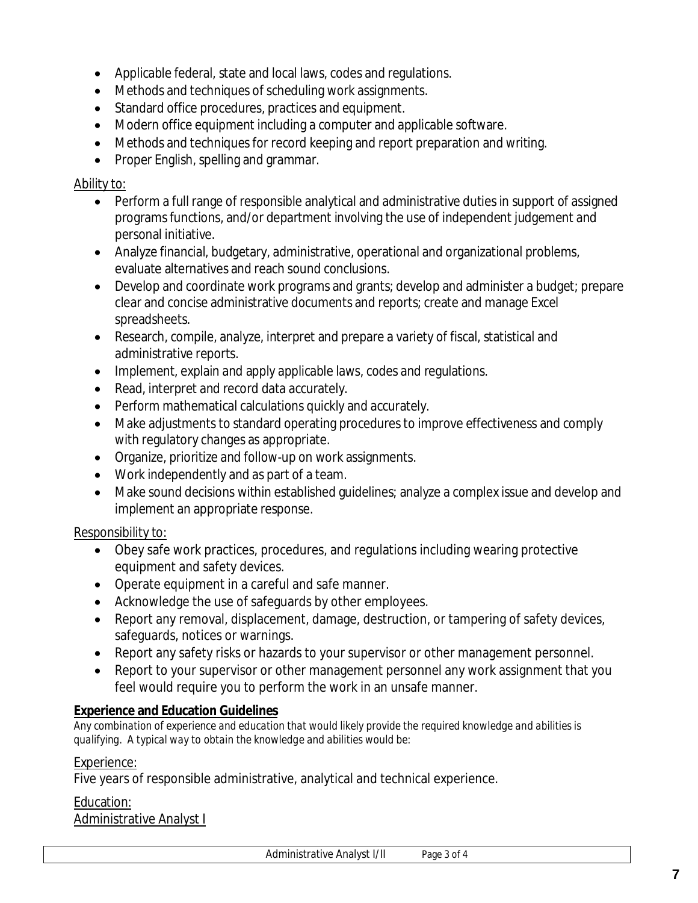- Applicable federal, state and local laws, codes and regulations.
- Methods and techniques of scheduling work assignments.
- Standard office procedures, practices and equipment.
- Modern office equipment including a computer and applicable software.
- Methods and techniques for record keeping and report preparation and writing.
- Proper English, spelling and grammar.

#### Ability to:

- Perform a full range of responsible analytical and administrative duties in support of assigned programs functions, and/or department involving the use of independent judgement and personal initiative.
- Analyze financial, budgetary, administrative, operational and organizational problems, evaluate alternatives and reach sound conclusions.
- Develop and coordinate work programs and grants; develop and administer a budget; prepare clear and concise administrative documents and reports; create and manage Excel spreadsheets.
- Research, compile, analyze, interpret and prepare a variety of fiscal, statistical and administrative reports.
- Implement, explain and apply applicable laws, codes and regulations.
- Read, interpret and record data accurately.
- Perform mathematical calculations quickly and accurately.
- Make adjustments to standard operating procedures to improve effectiveness and comply with regulatory changes as appropriate.
- Organize, prioritize and follow-up on work assignments.
- Work independently and as part of a team.
- Make sound decisions within established guidelines; analyze a complex issue and develop and implement an appropriate response.

# Responsibility to:

- Obey safe work practices, procedures, and regulations including wearing protective equipment and safety devices.
- Operate equipment in a careful and safe manner.
- Acknowledge the use of safeguards by other employees.
- Report any removal, displacement, damage, destruction, or tampering of safety devices, safeguards, notices or warnings.
- Report any safety risks or hazards to your supervisor or other management personnel.
- Report to your supervisor or other management personnel any work assignment that you feel would require you to perform the work in an unsafe manner.

# **Experience and Education Guidelines**

*Any combination of experience and education that would likely provide the required knowledge and abilities is qualifying. A typical way to obtain the knowledge and abilities would be:*

#### Experience:

Five years of responsible administrative, analytical and technical experience.

#### Education:

Administrative Analyst I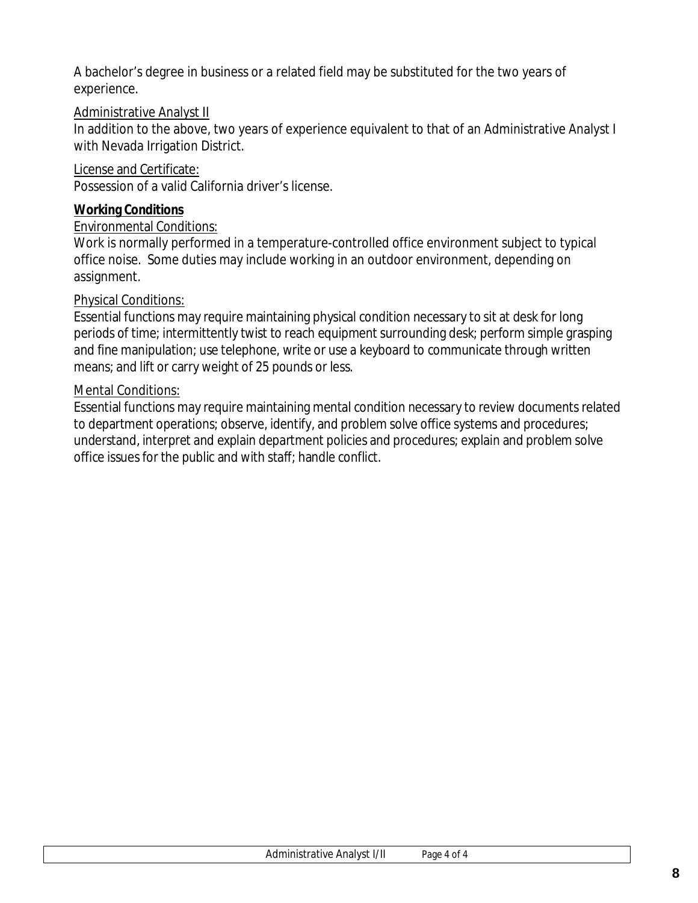A bachelor's degree in business or a related field may be substituted for the two years of experience.

#### Administrative Analyst II

In addition to the above, two years of experience equivalent to that of an Administrative Analyst I with Nevada Irrigation District.

#### License and Certificate:

Possession of a valid California driver's license.

#### **Working Conditions**

#### Environmental Conditions:

Work is normally performed in a temperature-controlled office environment subject to typical office noise. Some duties may include working in an outdoor environment, depending on assignment.

#### Physical Conditions:

Essential functions may require maintaining physical condition necessary to sit at desk for long periods of time; intermittently twist to reach equipment surrounding desk; perform simple grasping and fine manipulation; use telephone, write or use a keyboard to communicate through written means; and lift or carry weight of 25 pounds or less.

#### Mental Conditions:

Essential functions may require maintaining mental condition necessary to review documents related to department operations; observe, identify, and problem solve office systems and procedures; understand, interpret and explain department policies and procedures; explain and problem solve office issues for the public and with staff; handle conflict.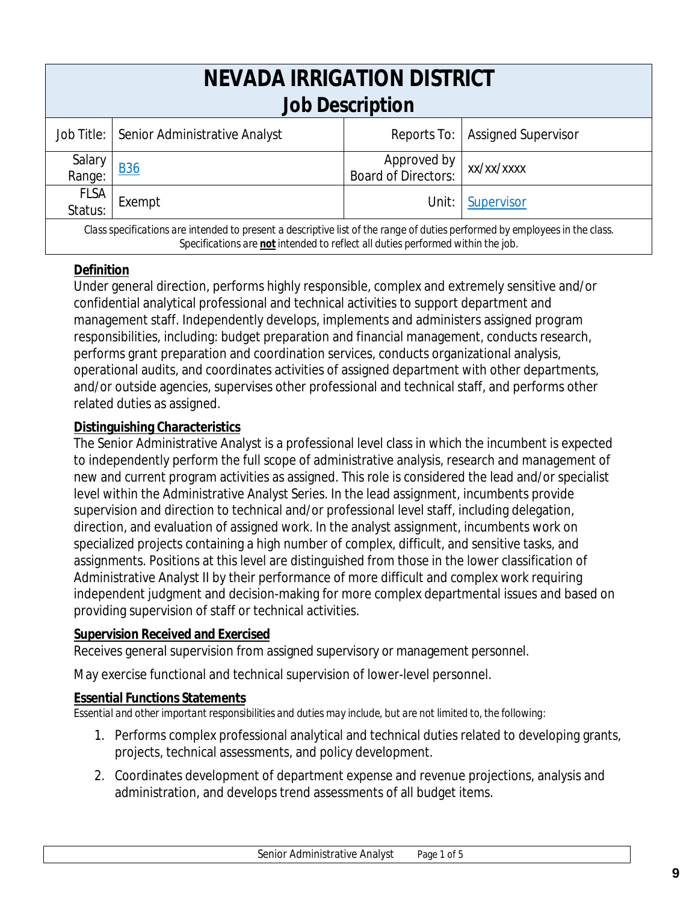| <b>NEVADA IRRIGATION DISTRICT</b><br>Job Description                                                                                                                                                           |                                            |                                           |                            |  |
|----------------------------------------------------------------------------------------------------------------------------------------------------------------------------------------------------------------|--------------------------------------------|-------------------------------------------|----------------------------|--|
|                                                                                                                                                                                                                | Job Title:   Senior Administrative Analyst | Reports To:                               | <b>Assigned Supervisor</b> |  |
| Salary<br>Range:                                                                                                                                                                                               | <b>B36</b>                                 | Approved by<br><b>Board of Directors:</b> | xx/xx/xxxx                 |  |
| <b>FLSA</b><br>Status:                                                                                                                                                                                         | Exempt                                     | Unit:                                     | Supervisor                 |  |
| Class specifications are intended to present a descriptive list of the range of duties performed by employees in the class.<br>Specifications are not intended to reflect all duties performed within the job. |                                            |                                           |                            |  |

# **Definition**

Under general direction, performs highly responsible, complex and extremely sensitive and/or confidential analytical professional and technical activities to support department and management staff. Independently develops, implements and administers assigned program responsibilities, including: budget preparation and financial management, conducts research, performs grant preparation and coordination services, conducts organizational analysis, operational audits, and coordinates activities of assigned department with other departments, and/or outside agencies, supervises other professional and technical staff, and performs other related duties as assigned.

# **Distinguishing Characteristics**

The Senior Administrative Analyst is a professional level class in which the incumbent is expected to independently perform the full scope of administrative analysis, research and management of new and current program activities as assigned. This role is considered the lead and/or specialist level within the Administrative Analyst Series. In the lead assignment, incumbents provide supervision and direction to technical and/or professional level staff, including delegation, direction, and evaluation of assigned work. In the analyst assignment, incumbents work on specialized projects containing a high number of complex, difficult, and sensitive tasks, and assignments. Positions at this level are distinguished from those in the lower classification of Administrative Analyst II by their performance of more difficult and complex work requiring independent judgment and decision-making for more complex departmental issues and based on providing supervision of staff or technical activities.

# **Supervision Received and Exercised**

Receives general supervision from assigned supervisory or management personnel.

May exercise functional and technical supervision of lower-level personnel.

# **Essential Functions Statements**

*Essential and other important responsibilities and duties may include, but are not limited to, the following:*

- 1. Performs complex professional analytical and technical duties related to developing grants, projects, technical assessments, and policy development.
- 2. Coordinates development of department expense and revenue projections, analysis and administration, and develops trend assessments of all budget items.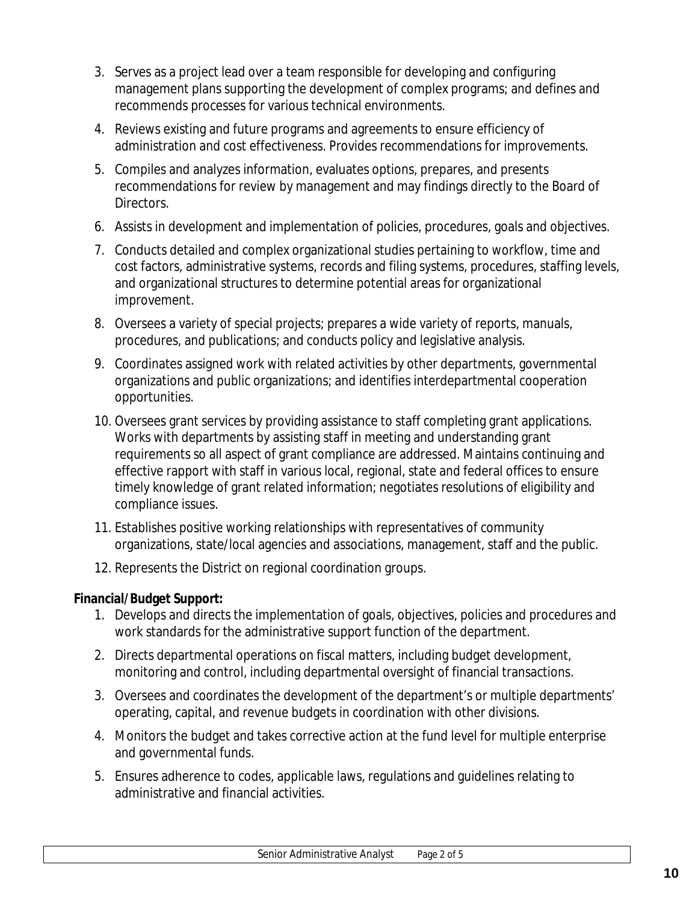- 3. Serves as a project lead over a team responsible for developing and configuring management plans supporting the development of complex programs; and defines and recommends processes for various technical environments.
- 4. Reviews existing and future programs and agreements to ensure efficiency of administration and cost effectiveness. Provides recommendations for improvements.
- 5. Compiles and analyzes information, evaluates options, prepares, and presents recommendations for review by management and may findings directly to the Board of Directors.
- 6. Assists in development and implementation of policies, procedures, goals and objectives.
- 7. Conducts detailed and complex organizational studies pertaining to workflow, time and cost factors, administrative systems, records and filing systems, procedures, staffing levels, and organizational structures to determine potential areas for organizational improvement.
- 8. Oversees a variety of special projects; prepares a wide variety of reports, manuals, procedures, and publications; and conducts policy and legislative analysis.
- 9. Coordinates assigned work with related activities by other departments, governmental organizations and public organizations; and identifies interdepartmental cooperation opportunities.
- 10. Oversees grant services by providing assistance to staff completing grant applications. Works with departments by assisting staff in meeting and understanding grant requirements so all aspect of grant compliance are addressed. Maintains continuing and effective rapport with staff in various local, regional, state and federal offices to ensure timely knowledge of grant related information; negotiates resolutions of eligibility and compliance issues.
- 11. Establishes positive working relationships with representatives of community organizations, state/local agencies and associations, management, staff and the public.
- 12. Represents the District on regional coordination groups.

**Financial/Budget Support:**

- 1. Develops and directs the implementation of goals, objectives, policies and procedures and work standards for the administrative support function of the department.
- 2. Directs departmental operations on fiscal matters, including budget development, monitoring and control, including departmental oversight of financial transactions.
- 3. Oversees and coordinates the development of the department's or multiple departments' operating, capital, and revenue budgets in coordination with other divisions.
- 4. Monitors the budget and takes corrective action at the fund level for multiple enterprise and governmental funds.
- 5. Ensures adherence to codes, applicable laws, regulations and guidelines relating to administrative and financial activities.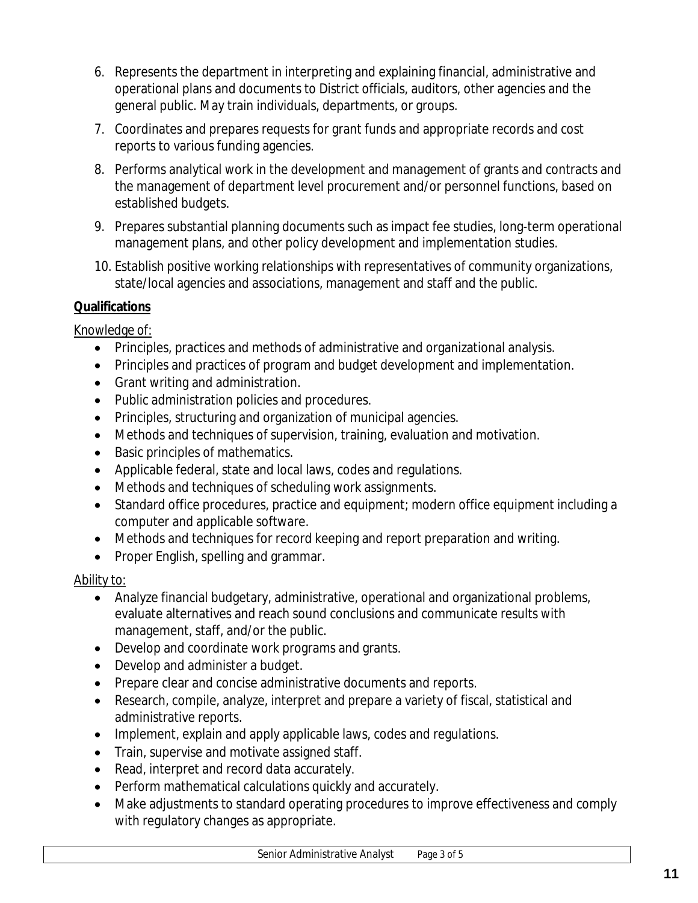- 6. Represents the department in interpreting and explaining financial, administrative and operational plans and documents to District officials, auditors, other agencies and the general public. May train individuals, departments, or groups.
- 7. Coordinates and prepares requests for grant funds and appropriate records and cost reports to various funding agencies.
- 8. Performs analytical work in the development and management of grants and contracts and the management of department level procurement and/or personnel functions, based on established budgets.
- 9. Prepares substantial planning documents such as impact fee studies, long-term operational management plans, and other policy development and implementation studies.
- 10. Establish positive working relationships with representatives of community organizations, state/local agencies and associations, management and staff and the public.

# **Qualifications**

# Knowledge of:

- Principles, practices and methods of administrative and organizational analysis.
- Principles and practices of program and budget development and implementation.
- Grant writing and administration.
- Public administration policies and procedures.
- Principles, structuring and organization of municipal agencies.
- Methods and techniques of supervision, training, evaluation and motivation.
- Basic principles of mathematics.
- Applicable federal, state and local laws, codes and regulations.
- Methods and techniques of scheduling work assignments.
- Standard office procedures, practice and equipment; modern office equipment including a computer and applicable software.
- Methods and techniques for record keeping and report preparation and writing.
- Proper English, spelling and grammar.

# Ability to:

- Analyze financial budgetary, administrative, operational and organizational problems, evaluate alternatives and reach sound conclusions and communicate results with management, staff, and/or the public.
- Develop and coordinate work programs and grants.
- Develop and administer a budget.
- Prepare clear and concise administrative documents and reports.
- Research, compile, analyze, interpret and prepare a variety of fiscal, statistical and administrative reports.
- Implement, explain and apply applicable laws, codes and regulations.
- Train, supervise and motivate assigned staff.
- Read, interpret and record data accurately.
- Perform mathematical calculations quickly and accurately.
- Make adjustments to standard operating procedures to improve effectiveness and comply with regulatory changes as appropriate.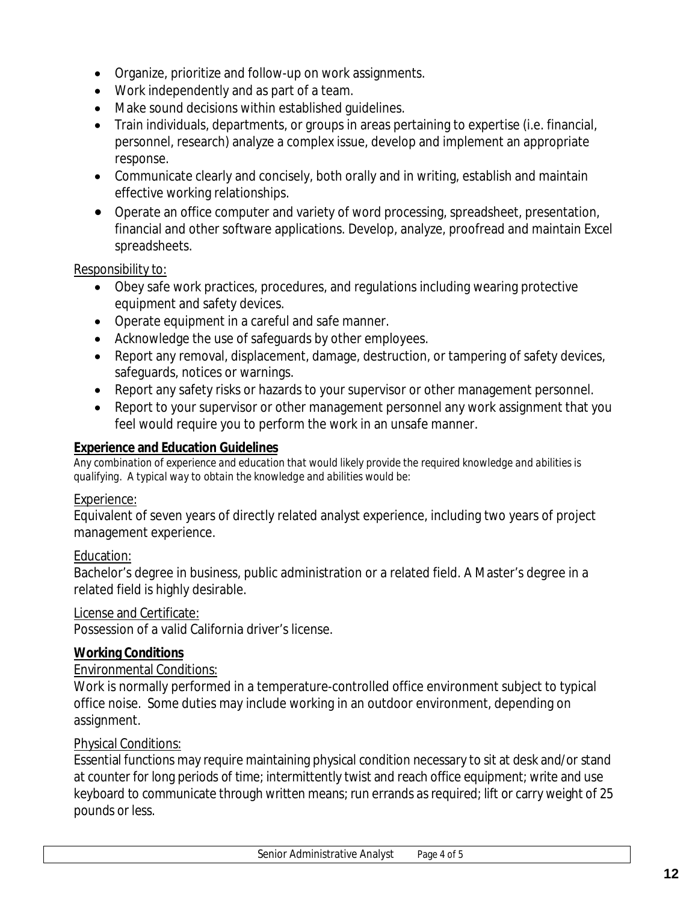- Organize, prioritize and follow-up on work assignments.
- Work independently and as part of a team.
- Make sound decisions within established guidelines.
- Train individuals, departments, or groups in areas pertaining to expertise (i.e. financial, personnel, research) analyze a complex issue, develop and implement an appropriate response.
- Communicate clearly and concisely, both orally and in writing, establish and maintain effective working relationships.
- Operate an office computer and variety of word processing, spreadsheet, presentation, financial and other software applications. Develop, analyze, proofread and maintain Excel spreadsheets.

#### Responsibility to:

- Obey safe work practices, procedures, and regulations including wearing protective equipment and safety devices.
- Operate equipment in a careful and safe manner.
- Acknowledge the use of safeguards by other employees.
- Report any removal, displacement, damage, destruction, or tampering of safety devices, safeguards, notices or warnings.
- Report any safety risks or hazards to your supervisor or other management personnel.
- Report to your supervisor or other management personnel any work assignment that you feel would require you to perform the work in an unsafe manner.

#### **Experience and Education Guidelines**

*Any combination of experience and education that would likely provide the required knowledge and abilities is qualifying. A typical way to obtain the knowledge and abilities would be:*

#### Experience:

Equivalent of seven years of directly related analyst experience, including two years of project management experience.

#### Education:

Bachelor's degree in business, public administration or a related field. A Master's degree in a related field is highly desirable.

#### License and Certificate:

Possession of a valid California driver's license.

#### **Working Conditions**

#### Environmental Conditions:

Work is normally performed in a temperature-controlled office environment subject to typical office noise. Some duties may include working in an outdoor environment, depending on assignment.

#### Physical Conditions:

Essential functions may require maintaining physical condition necessary to sit at desk and/or stand at counter for long periods of time; intermittently twist and reach office equipment; write and use keyboard to communicate through written means; run errands as required; lift or carry weight of 25 pounds or less.